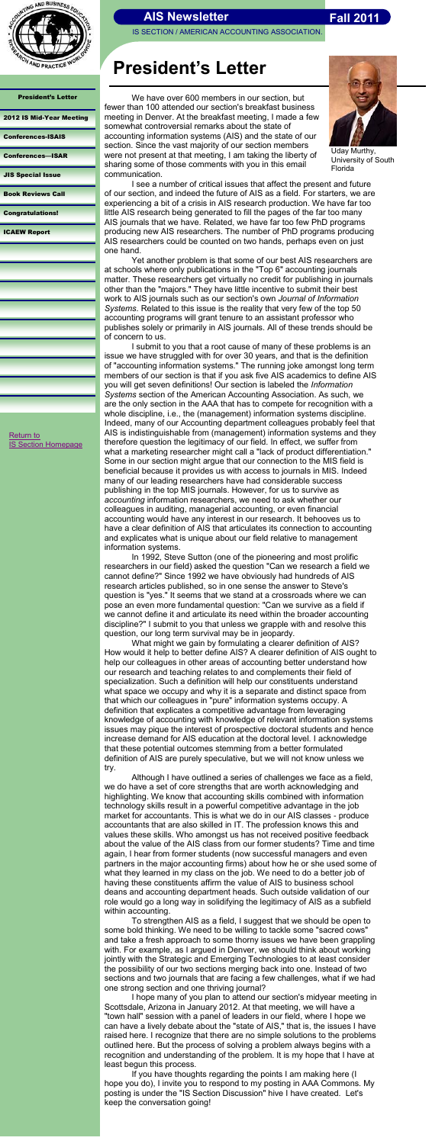IS SECTION / AMERICAN ACCOUNTING ASSOCIATION.



#### President's Letter

| 2012 IS Mid-Year Meeting |  |
|--------------------------|--|
|--------------------------|--|

[Conferences-ISAIS](#page-2-0)

[Conferences](#page-3-0)—ISAR

[JIS Special Issue](#page-4-0)

[Book Reviews Call](#page-5-0)

[Congratulations!](#page-6-0)

[ICAEW Report](#page-7-0)

## **President's Letter**

[Return to](http://aaahq.org/infosys/index.html) 

<span id="page-0-0"></span>**[IS Section Homepage](http://aaahq.org/infosys/index.html)** 

Uday Murthy, University of South Florida



We have over 600 members in our section, but fewer than 100 attended our section's breakfast business meeting in Denver. At the breakfast meeting, I made a few somewhat controversial remarks about the state of accounting information systems (AIS) and the state of our section. Since the vast majority of our section members were not present at that meeting, I am taking the liberty of sharing some of those comments with you in this email communication.

I see a number of critical issues that affect the present and future of our section, and indeed the future of AIS as a field. For starters, we are experiencing a bit of a crisis in AIS research production. We have far too little AIS research being generated to fill the pages of the far too many AIS journals that we have. Related, we have far too few PhD programs producing new AIS researchers. The number of PhD programs producing AIS researchers could be counted on two hands, perhaps even on just one hand.

Yet another problem is that some of our best AIS researchers are at schools where only publications in the "Top 6" accounting journals matter. These researchers get virtually no credit for publishing in journals other than the "majors." They have little incentive to submit their best work to AIS journals such as our section's own *Journal of Information Systems*. Related to this issue is the reality that very few of the top 50 accounting programs will grant tenure to an assistant professor who publishes solely or primarily in AIS journals. All of these trends should be of concern to us.

I submit to you that a root cause of many of these problems is an issue we have struggled with for over 30 years, and that is the definition of "accounting information systems." The running joke amongst long term members of our section is that if you ask five AIS academics to define AIS you will get seven definitions! Our section is labeled the *Information Systems* section of the American Accounting Association. As such, we are the only section in the AAA that has to compete for recognition with a whole discipline, i.e., the (management) information systems discipline. Indeed, many of our Accounting department colleagues probably feel that AIS is indistinguishable from (management) information systems and they therefore question the legitimacy of our field. In effect, we suffer from what a marketing researcher might call a "lack of product differentiation." Some in our section might argue that our connection to the MIS field is beneficial because it provides us with access to journals in MIS. Indeed many of our leading researchers have had considerable success publishing in the top MIS journals. However, for us to survive as *accounting* information researchers, we need to ask whether our colleagues in auditing, managerial accounting, or even financial accounting would have any interest in our research. It behooves us to have a clear definition of AIS that articulates its connection to accounting and explicates what is unique about our field relative to management information systems.

In 1992, Steve Sutton (one of the pioneering and most prolific researchers in our field) asked the question "Can we research a field we cannot define?" Since 1992 we have obviously had hundreds of AIS research articles published, so in one sense the answer to Steve's question is "yes." It seems that we stand at a crossroads where we can pose an even more fundamental question: "Can we survive as a field if we cannot define it and articulate its need within the broader accounting discipline?" I submit to you that unless we grapple with and resolve this question, our long term survival may be in jeopardy.

What might we gain by formulating a clearer definition of AIS? How would it help to better define AIS? A clearer definition of AIS ought to help our colleagues in other areas of accounting better understand how our research and teaching relates to and complements their field of specialization. Such a definition will help our constituents understand what space we occupy and why it is a separate and distinct space from that which our colleagues in "pure" information systems occupy. A definition that explicates a competitive advantage from leveraging knowledge of accounting with knowledge of relevant information systems issues may pique the interest of prospective doctoral students and hence increase demand for AIS education at the doctoral level. I acknowledge that these potential outcomes stemming from a better formulated definition of AIS are purely speculative, but we will not know unless we try. Although I have outlined a series of challenges we face as a field, we do have a set of core strengths that are worth acknowledging and highlighting. We know that accounting skills combined with information technology skills result in a powerful competitive advantage in the job market for accountants. This is what we do in our AIS classes - produce accountants that are also skilled in IT. The profession knows this and values these skills. Who amongst us has not received positive feedback about the value of the AIS class from our former students? Time and time again, I hear from former students (now successful managers and even partners in the major accounting firms) about how he or she used some of what they learned in my class on the job. We need to do a better job of having these constituents affirm the value of AIS to business school deans and accounting department heads. Such outside validation of our role would go a long way in solidifying the legitimacy of AIS as a subfield within accounting. To strengthen AIS as a field, I suggest that we should be open to some bold thinking. We need to be willing to tackle some "sacred cows" and take a fresh approach to some thorny issues we have been grappling with. For example, as I argued in Denver, we should think about working jointly with the Strategic and Emerging Technologies to at least consider the possibility of our two sections merging back into one. Instead of two sections and two journals that are facing a few challenges, what if we had one strong section and one thriving journal? I hope many of you plan to attend our section's midyear meeting in Scottsdale, Arizona in January 2012. At that meeting, we will have a "town hall" session with a panel of leaders in our field, where I hope we can have a lively debate about the "state of AIS," that is, the issues I have raised here. I recognize that there are no simple solutions to the problems outlined here. But the process of solving a problem always begins with a recognition and understanding of the problem. It is my hope that I have at least begun this process. If you have thoughts regarding the points I am making here (I hope you do), I invite you to respond to my posting in AAA Commons. My posting is under the "IS Section Discussion" hive I have created. Let's keep the conversation going!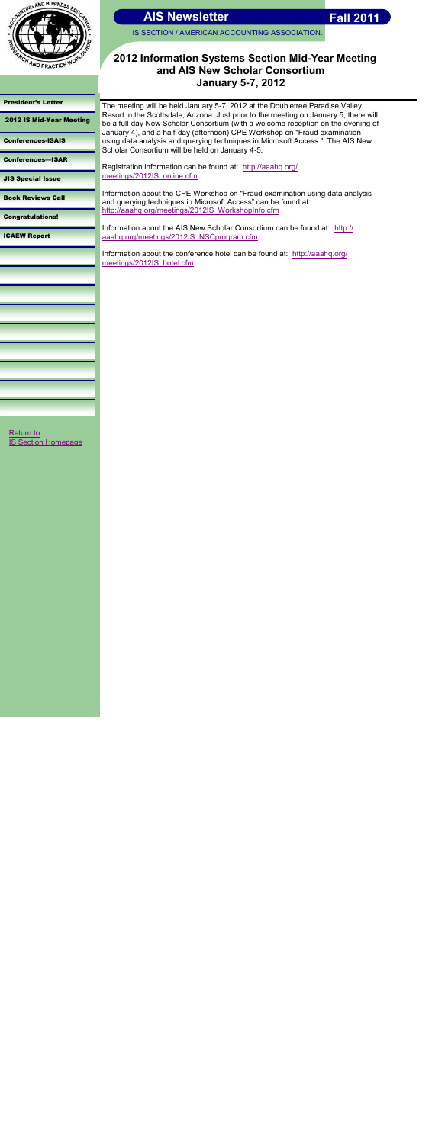

IS SECTION / AMERICAN ACCOUNTING ASSOCIATION.

#### [President's Letter](#page-0-0)

2012 IS Mid-Year Meeting

[Conferences-ISAIS](#page-2-0)

[Conferences](#page-3-0)—ISAR

[JIS Special Issue](#page-4-0)

<span id="page-1-0"></span>[Return to](http://aaahq.org/infosys/index.html)  **[IS Section Homepage](http://aaahq.org/infosys/index.html)** 



[Book Reviews Call](#page-5-0)

[Congratulations!](#page-6-0)

[ICAEW Report](#page-7-0)

### **2012 Information Systems Section Mid-Year Meeting and AIS New Scholar Consortium January 5-7, 2012**

Registration information can be found at: [http://aaahq.org/](http://aaahq.org/meetings/2012IS_online.cfm) [meetings/2012IS\\_online.cfm](http://aaahq.org/meetings/2012IS_online.cfm)

The meeting will be held January 5-7, 2012 at the Doubletree Paradise Valley Resort in the Scottsdale, Arizona. Just prior to the meeting on January 5, there will be a full-day New Scholar Consortium (with a welcome reception on the evening of January 4), and a half-day (afternoon) CPE Workshop on "Fraud examination using data analysis and querying techniques in Microsoft Access." The AIS New Scholar Consortium will be held on January 4-5.

Information about the CPE Workshop on "Fraud examination using data analysis and querying techniques in Microsoft Access" can be found at: [http://aaahq.org/meetings/2012IS\\_WorkshopInfo.cfm](http://aaahq.org/meetings/2012IS_WorkshopInfo.cfm)

Information about the AIS New Scholar Consortium can be found at: [http://](http://aaahq.org/meetings/2012IS_NSCprogram.cfm) [aaahq.org/meetings/2012IS\\_NSCprogram.cfm](http://aaahq.org/meetings/2012IS_NSCprogram.cfm)

Information about the conference hotel can be found at: [http://aaahq.org/](http://aaahq.org/meetings/2012IS_hotel.cfm) [meetings/2012IS\\_hotel.cfm](http://aaahq.org/meetings/2012IS_hotel.cfm)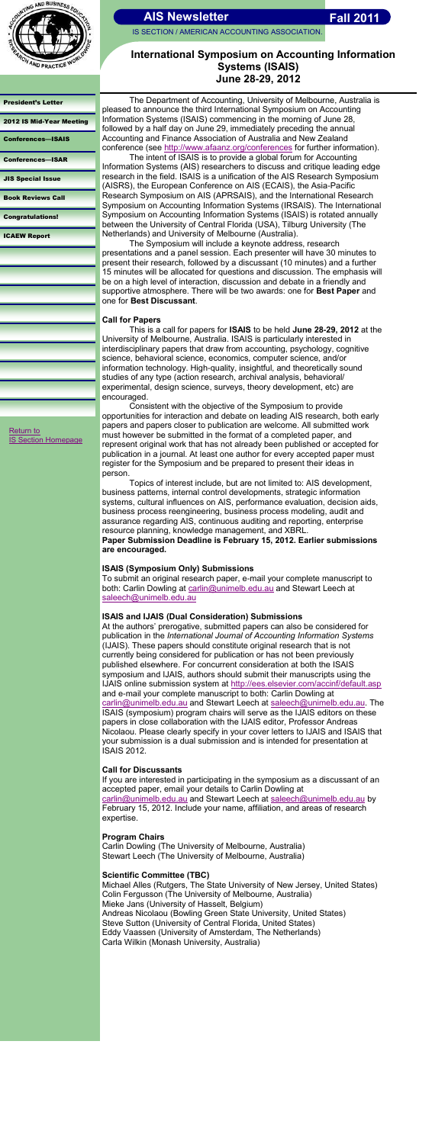

IS SECTION / AMERICAN ACCOUNTING ASSOCIATION.

### [President's Letter](#page-0-0)

#### [2012 IS Mid-Year Meeting](#page-1-0)

Conferences—ISAIS

[Conferences](#page-3-0)—ISAR

[JIS Special Issue](#page-4-0)

The Department of Accounting, University of Melbourne, Australia is pleased to announce the third International Symposium on Accounting Information Systems (ISAIS) commencing in the morning of June 28, followed by a half day on June 29, immediately preceding the annual Accounting and Finance Association of Australia and New Zealand conference (see <http://www.afaanz.org/conferences> for further information).

[Book Reviews Call](#page-5-0)

[Congratulations!](#page-6-0)

[ICAEW Report](#page-7-0)

## **International Symposium on Accounting Information Systems (ISAIS) June 28-29, 2012**

The intent of ISAIS is to provide a global forum for Accounting Information Systems (AIS) researchers to discuss and critique leading edge research in the field. ISAIS is a unification of the AIS Research Symposium (AISRS), the European Conference on AIS (ECAIS), the Asia-Pacific Research Symposium on AIS (APRSAIS), and the International Research Symposium on Accounting Information Systems (IRSAIS). The International Symposium on Accounting Information Systems (ISAIS) is rotated annually between the University of Central Florida (USA), Tilburg University (The Netherlands) and University of Melbourne (Australia).

The Symposium will include a keynote address, research presentations and a panel session. Each presenter will have 30 minutes to present their research, followed by a discussant (10 minutes) and a further 15 minutes will be allocated for questions and discussion. The emphasis will be on a high level of interaction, discussion and debate in a friendly and supportive atmosphere. There will be two awards: one for **Best Paper** and one for **Best Discussant**.

To submit an original research paper, e-mail your complete manuscript to both: Carlin Dowling at [carlin@unimelb.edu.au](mailto:carlin@unimelb.edu.au) and Stewart Leech at [saleech@unimelb.edu.au](mailto:saleech@unimelb.edu.au)

### **Call for Papers**

This is a call for papers for **ISAIS** to be held **June 28-29, 2012** at the University of Melbourne, Australia. ISAIS is particularly interested in interdisciplinary papers that draw from accounting, psychology, cognitive science, behavioral science, economics, computer science, and/or information technology. High-quality, insightful, and theoretically sound studies of any type (action research, archival analysis, behavioral/ experimental, design science, surveys, theory development, etc) are encouraged.

Consistent with the objective of the Symposium to provide opportunities for interaction and debate on leading AIS research, both early papers and papers closer to publication are welcome. All submitted work must however be submitted in the format of a completed paper, and represent original work that has not already been published or accepted for publication in a journal. At least one author for every accepted paper must register for the Symposium and be prepared to present their ideas in person.

[Return to](http://aaahq.org/infosys/index.html)  **[IS Section Homepage](http://aaahq.org/infosys/index.html)** 

> Topics of interest include, but are not limited to: AIS development, business patterns, internal control developments, strategic information systems, cultural influences on AIS, performance evaluation, decision aids, business process reengineering, business process modeling, audit and assurance regarding AIS, continuous auditing and reporting, enterprise resource planning, knowledge management, and XBRL.

> <span id="page-2-0"></span>**Paper Submission Deadline is February 15, 2012. Earlier submissions are encouraged.**

### **ISAIS (Symposium Only) Submissions**

### **ISAIS and IJAIS (Dual Consideration) Submissions**

At the authors' prerogative, submitted papers can also be considered for publication in the *International Journal of Accounting Information Systems*  (IJAIS). These papers should constitute original research that is not currently being considered for publication or has not been previously published elsewhere. For concurrent consideration at both the ISAIS symposium and IJAIS, authors should submit their manuscripts using the IJAIS online submission system at <http://ees.elsevier.com/accinf/default.asp> and e-mail your complete manuscript to both: Carlin Dowling at [carlin@unimelb.edu.au](mailto:carlin@unimelb.edu.au) and Stewart Leech at [saleech@unimelb.edu.au.](mailto:saleech@unimelb.edu.au) The ISAIS (symposium) program chairs will serve as the IJAIS editors on these papers in close collaboration with the IJAIS editor, Professor Andreas Nicolaou. Please clearly specify in your cover letters to IJAIS and ISAIS that your submission is a dual submission and is intended for presentation at ISAIS 2012.

### **Call for Discussants**

If you are interested in participating in the symposium as a discussant of an accepted paper, email your details to Carlin Dowling at [carlin@unimelb.edu.au](mailto:carlin@unimelb.edu.au) and Stewart Leech at [saleech@unimelb.edu.au](mailto:saleech@unimelb.edu.au) by February 15, 2012. Include your name, affiliation, and areas of research expertise.

### **Program Chairs**

Carlin Dowling (The University of Melbourne, Australia) Stewart Leech (The University of Melbourne, Australia)

### **Scientific Committee (TBC)**

Michael Alles (Rutgers, The State University of New Jersey, United States) Colin Fergusson (The University of Melbourne, Australia) Mieke Jans (University of Hasselt, Belgium) Andreas Nicolaou (Bowling Green State University, United States) Steve Sutton (University of Central Florida, United States) Eddy Vaassen (University of Amsterdam, The Netherlands) Carla Wilkin (Monash University, Australia)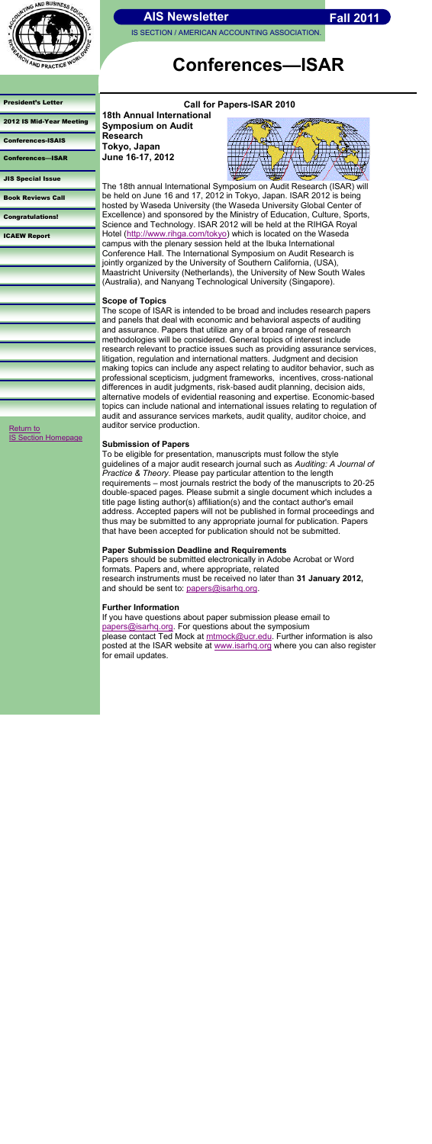IS SECTION / AMERICAN ACCOUNTING ASSOCIATION.

#### [President's Letter](#page-0-0)

| <b>2012 IS Mid-Year Meeting</b> |
|---------------------------------|
|---------------------------------|

[Conferences-ISAIS](#page-2-0)

Conferences—ISAR

[JIS Special Issue](#page-4-0)

[Book Reviews Call](#page-5-0)

[Congratulations!](#page-6-0)

[ICAEW Report](#page-7-0)

# **Conferences—ISAR**

**Call for Papers-ISAR 2010 18th Annual International Symposium on Audit Research Tokyo, Japan June 16-17, 2012**



The 18th annual International Symposium on Audit Research (ISAR) will be held on June 16 and 17, 2012 in Tokyo, Japan. ISAR 2012 is being hosted by Waseda University (the Waseda University Global Center of Excellence) and sponsored by the Ministry of Education, Culture, Sports, Science and Technology. ISAR 2012 will be held at the RIHGA Royal Hotel [\(http://www.rihga.com/tokyo\)](http://www.rihga.com/tokyo) which is located on the Waseda campus with the plenary session held at the Ibuka International Conference Hall. The International Symposium on Audit Research is jointly organized by the University of Southern California, (USA), Maastricht University (Netherlands), the University of New South Wales (Australia), and Nanyang Technological University (Singapore).

### **Scope of Topics**

Papers should be submitted electronically in Adobe Acrobat or Word formats. Papers and, where appropriate, related research instruments must be received no later than **31 January 2012,**  and should be sent to: [papers@isarhq.org.](mailto:papers@isarhq.org)

The scope of ISAR is intended to be broad and includes research papers and panels that deal with economic and behavioral aspects of auditing and assurance. Papers that utilize any of a broad range of research methodologies will be considered. General topics of interest include research relevant to practice issues such as providing assurance services, litigation, regulation and international matters. Judgment and decision making topics can include any aspect relating to auditor behavior, such as professional scepticism, judgment frameworks, incentives, cross-national differences in audit judgments, risk-based audit planning, decision aids, alternative models of evidential reasoning and expertise. Economic-based topics can include national and international issues relating to regulation of audit and assurance services markets, audit quality, auditor choice, and auditor service production.

### **Submission of Papers**

To be eligible for presentation, manuscripts must follow the style guidelines of a major audit research journal such as *Auditing: A Journal of Practice & Theory*. Please pay particular attention to the length requirements – most journals restrict the body of the manuscripts to 20-25 double-spaced pages. Please submit a single document which includes a title page listing author(s) affiliation(s) and the contact author's email address. Accepted papers will not be published in formal proceedings and thus may be submitted to any appropriate journal for publication. Papers that have been accepted for publication should not be submitted.

### <span id="page-3-0"></span>**Paper Submission Deadline and Requirements**

### **Further Information**

If you have questions about paper submission please email to [papers@isarhq.org.](mailto:papers@isarhq.org) For questions about the symposium please contact Ted Mock at [mtmock@ucr.edu.](mailto:mtmock@ucr.edu) Further information is also posted at the ISAR website at [www.isarhq.org](http://www.isarhq.org) where you can also register for email updates.



[Return to](http://aaahq.org/infosys/index.html) 

[IS Section Homepage](http://aaahq.org/infosys/index.html)



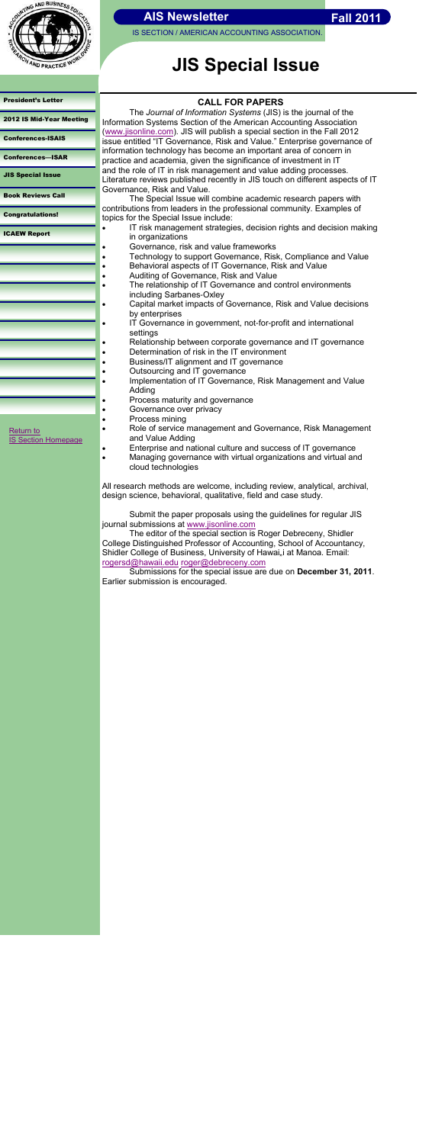

IS SECTION / AMERICAN ACCOUNTING ASSOCIATION.

[President's Letter](#page-0-0) 

[2012 IS Mid-Year Meeting](#page-1-0)

[Conferences-ISAIS](#page-2-0)

[Conferences](#page-3-0)—ISAR

JIS Special Issue

[Book Reviews Call](#page-5-0)

[Congratulations!](#page-6-0)

[ICAEW Report](#page-7-0)

# **JIS Special Issue**

[Return to](http://aaahq.org/infosys/index.html) 

**[IS Section Homepage](http://aaahq.org/infosys/index.html)** 

**CALL FOR PAPERS**

The *Journal of Information Systems* (JIS) is the journal of the Information Systems Section of the American Accounting Association ([www.jisonline.com\).](http://www.jisonline.com) JIS will publish a special section in the Fall 2012 issue entitled "IT Governance, Risk and Value." Enterprise governance of information technology has become an important area of concern in practice and academia, given the significance of investment in IT and the role of IT in risk management and value adding processes. Literature reviews published recently in JIS touch on different aspects of IT Governance, Risk and Value.

The Special Issue will combine academic research papers with contributions from leaders in the professional community. Examples of topics for the Special Issue include:

- IT risk management strategies, decision rights and decision making in organizations
	- Governance, risk and value frameworks
- Technology to support Governance, Risk, Compliance and Value
- **Behavioral aspects of IT Governance, Risk and Value**
- Auditing of Governance, Risk and Value
- The relationship of IT Governance and control environments including Sarbanes-Oxley
- Capital market impacts of Governance, Risk and Value decisions by enterprises
- IT Governance in government, not-for-profit and international settings
- Relationship between corporate governance and IT governance • Determination of risk in the IT environment
- **Business/IT alignment and IT governance**
- Outsourcing and IT governance
- Implementation of IT Governance, Risk Management and Value Adding
- Process maturity and governance
- Governance over privacy
- Process mining
- Role of service management and Governance, Risk Management and Value Adding
- **Enterprise and national culture and success of IT governance**
- Managing governance with virtual organizations and virtual and cloud technologies

Submit the paper proposals using the guidelines for regular JIS journal submissions at [www.jisonline.com](http://www.jisonline.com)

All research methods are welcome, including review, analytical, archival, design science, behavioral, qualitative, field and case study.

<span id="page-4-0"></span>The editor of the special section is Roger Debreceny, Shidler College Distinguished Professor of Accounting, School of Accountancy, Shidler College of Business, University of Hawai"i at Manoa. Email: [rogersd@hawaii.edu](mailto:rogersd@hawaii.edu) [roger@debreceny.com](mailto:roger@debreceny.com)

Submissions for the special issue are due on **December 31, 2011**. Earlier submission is encouraged.

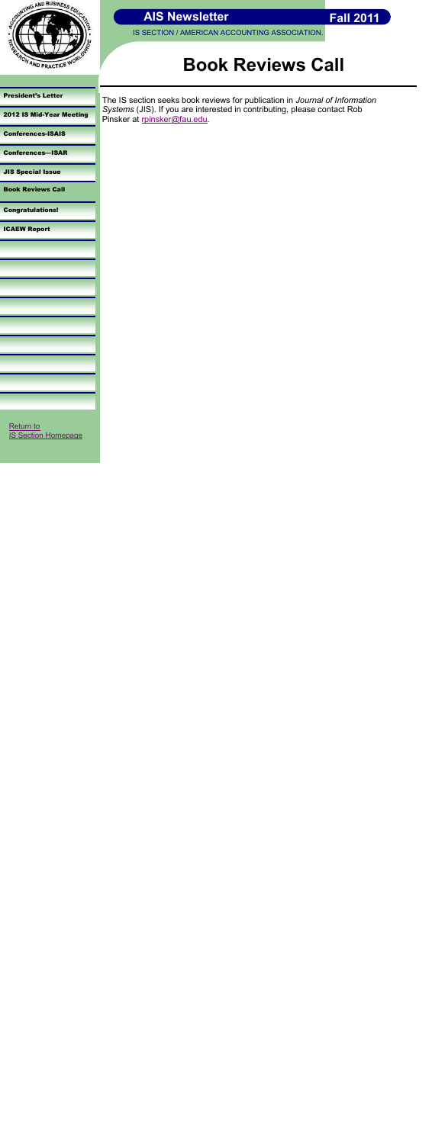



[President's Letter](#page-0-0) 

[2012 IS Mid-Year Meeting](#page-1-0)

[Conferences-ISAIS](#page-2-0)

[Conferences](#page-3-0)—ISAR

[JIS Special Issue](#page-4-0)

Book Reviews Call

[Congratulations!](#page-6-0)

[ICAEW Report](#page-7-0)

# **Book Reviews Call**

The IS section seeks book reviews for publication in *Journal of Information Systems* (JIS). If you are interested in contributing, please contact Rob Pinsker at [rpinsker@fau.edu.](mailto:rpinsker@fau.edu)

<span id="page-5-0"></span>[Return to](http://aaahq.org/infosys/index.html)  [IS Section Homepage](http://aaahq.org/infosys/index.html)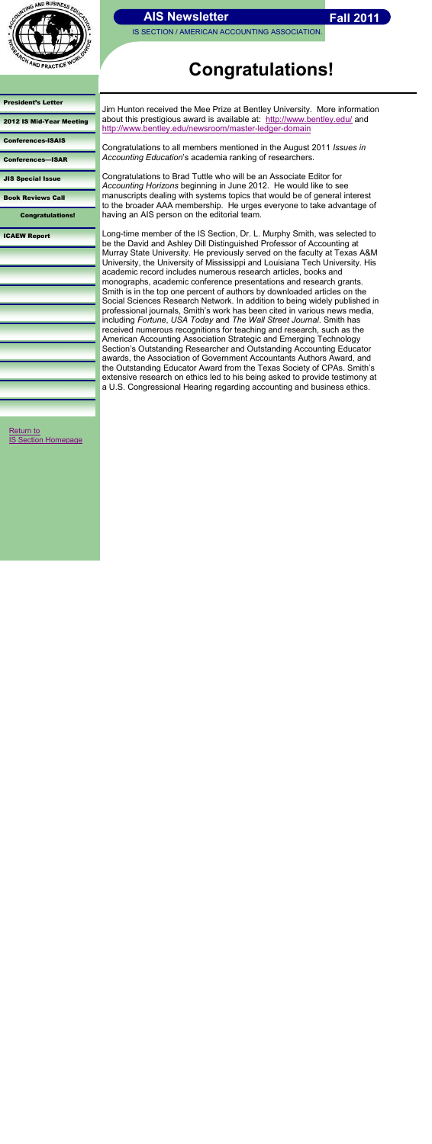

IS SECTION / AMERICAN ACCOUNTING ASSOCIATION.

#### [President's Letter](#page-0-0)

[2012 IS Mid-Year Meeting](#page-1-0)

[Conferences-ISAIS](#page-2-0)

[Conferences](#page-3-0)—ISAR

[JIS Special Issue](#page-4-0)

[Book Reviews Call](#page-5-0)

Congratulations!

[ICAEW Report](#page-7-0)

# **Congratulations!**

Jim Hunton received the Mee Prize at Bentley University. More information about this prestigious award is available at: <http://www.bentley.edu/> and <http://www.bentley.edu/newsroom/master-ledger-domain>

Congratulations to all members mentioned in the August 2011 *Issues in Accounting Education*'s academia ranking of researchers.

Congratulations to Brad Tuttle who will be an Associate Editor for *Accounting Horizons* beginning in June 2012. He would like to see manuscripts dealing with systems topics that would be of general interest to the broader AAA membership. He urges everyone to take advantage of having an AIS person on the editorial team.

<span id="page-6-0"></span>[Return to](http://aaahq.org/infosys/index.html)  **[IS Section Homepage](http://aaahq.org/infosys/index.html)** 

Long-time member of the IS Section, Dr. L. Murphy Smith, was selected to be the David and Ashley Dill Distinguished Professor of Accounting at Murray State University. He previously served on the faculty at Texas A&M University, the University of Mississippi and Louisiana Tech University. His academic record includes numerous research articles, books and monographs, academic conference presentations and research grants. Smith is in the top one percent of authors by downloaded articles on the Social Sciences Research Network. In addition to being widely published in professional journals, Smith's work has been cited in various news media, including *Fortune*, *USA Today* and *The Wall Street Journal*. Smith has received numerous recognitions for teaching and research, such as the American Accounting Association Strategic and Emerging Technology Section's Outstanding Researcher and Outstanding Accounting Educator awards, the Association of Government Accountants Authors Award, and the Outstanding Educator Award from the Texas Society of CPAs. Smith's extensive research on ethics led to his being asked to provide testimony at a U.S. Congressional Hearing regarding accounting and business ethics.